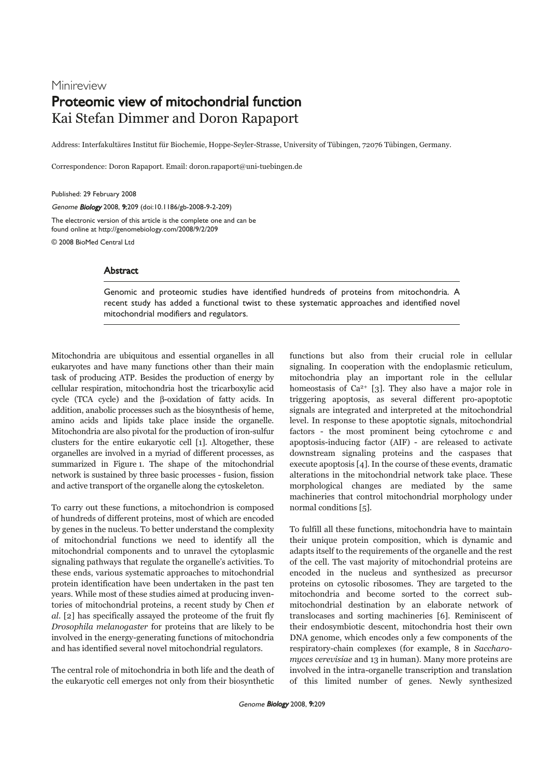# Minireview Proteomic view of mitochondrial function Kai Stefan Dimmer and Doron Rapaport

Address: Interfakultäres Institut für Biochemie, Hoppe-Seyler-Strasse, University of Tübingen, 72076 Tübingen, Germany.

Correspondence: Doron Rapaport. Email: doron.rapaport@uni-tuebingen.de

Published: 29 February 2008

Genome Biology 2008, 9:209 (doi:10.1186/gb-2008-9-2-209)

The electronic version of this article is the complete one and can be found online at http://genomebiology.com/2008/9/2/209

© 2008 BioMed Central Ltd

## **Abstract**

Genomic and proteomic studies have identified hundreds of proteins from mitochondria. A recent study has added a functional twist to these systematic approaches and identified novel mitochondrial modifiers and regulators.

Mitochondria are ubiquitous and essential organelles in all eukaryotes and have many functions other than their main task of producing ATP. Besides the production of energy by cellular respiration, mitochondria host the tricarboxylic acid cycle (TCA cycle) and the β-oxidation of fatty acids. In addition, anabolic processes such as the biosynthesis of heme, amino acids and lipids take place inside the organelle. Mitochondria are also pivotal for the production of iron-sulfur clusters for the entire eukaryotic cell [1]. Altogether, these organelles are involved in a myriad of different processes, as summarized in Figure 1. The shape of the mitochondrial network is sustained by three basic processes - fusion, fission and active transport of the organelle along the cytoskeleton.

To carry out these functions, a mitochondrion is composed of hundreds of different proteins, most of which are encoded by genes in the nucleus. To better understand the complexity of mitochondrial functions we need to identify all the mitochondrial components and to unravel the cytoplasmic signaling pathways that regulate the organelle's activities. To these ends, various systematic approaches to mitochondrial protein identification have been undertaken in the past ten years. While most of these studies aimed at producing inventories of mitochondrial proteins, a recent study by Chen et al. [2] has specifically assayed the proteome of the fruit fly Drosophila melanogaster for proteins that are likely to be involved in the energy-generating functions of mitochondria and has identified several novel mitochondrial regulators.

The central role of mitochondria in both life and the death of the eukaryotic cell emerges not only from their biosynthetic

functions but also from their crucial role in cellular signaling. In cooperation with the endoplasmic reticulum, mitochondria play an important role in the cellular homeostasis of  $Ca^{2+}$  [3]. They also have a major role in triggering apoptosis, as several different pro-apoptotic signals are integrated and interpreted at the mitochondrial level. In response to these apoptotic signals, mitochondrial factors - the most prominent being cytochrome c and apoptosis-inducing factor (AIF) - are released to activate downstream signaling proteins and the caspases that execute apoptosis [4]. In the course of these events, dramatic alterations in the mitochondrial network take place. These morphological changes are mediated by the same machineries that control mitochondrial morphology under normal conditions [5].

To fulfill all these functions, mitochondria have to maintain their unique protein composition, which is dynamic and adapts itself to the requirements of the organelle and the rest of the cell. The vast majority of mitochondrial proteins are encoded in the nucleus and synthesized as precursor proteins on cytosolic ribosomes. They are targeted to the mitochondria and become sorted to the correct submitochondrial destination by an elaborate network of translocases and sorting machineries [6]. Reminiscent of their endosymbiotic descent, mitochondria host their own DNA genome, which encodes only a few components of the respiratory-chain complexes (for example, 8 in Saccharomyces cerevisiae and 13 in human). Many more proteins are involved in the intra-organelle transcription and translation of this limited number of genes. Newly synthesized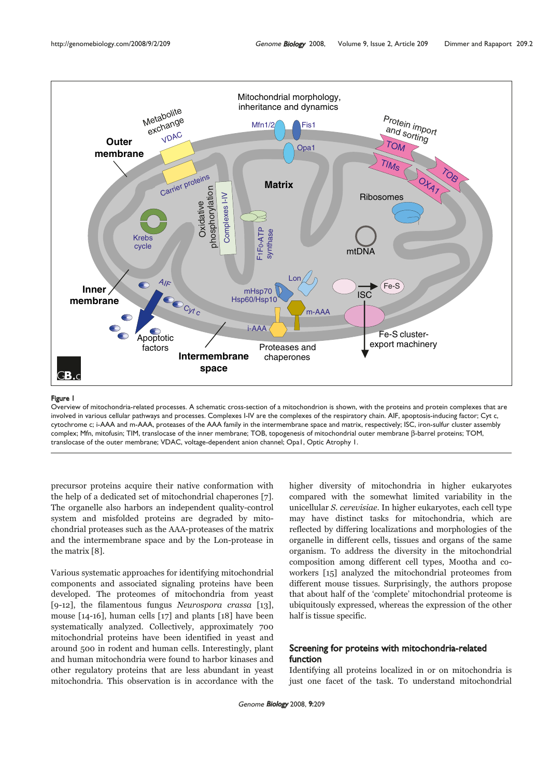

## Figure 1

Overview of mitochondria-related processes. A schematic cross-section of a mitochondrion is shown, with the proteins and protein complexes that are involved in various cellular pathways and processes. Complexes I-IV are the complexes of the respiratory chain. AIF, apoptosis-inducing factor; Cyt c, cytochrome c; i-AAA and m-AAA, proteases of the AAA family in the intermembrane space and matrix, respectively; ISC, iron-sulfur cluster assembly complex; Mfn, mitofusin; TIM, translocase of the inner membrane; TOB, topogenesis of mitochondrial outer membrane β-barrel proteins; TOM, translocase of the outer membrane; VDAC, voltage-dependent anion channel; Opa1, Optic Atrophy 1.

precursor proteins acquire their native conformation with the help of a dedicated set of mitochondrial chaperones [7]. The organelle also harbors an independent quality-control system and misfolded proteins are degraded by mitochondrial proteases such as the AAA-proteases of the matrix and the intermembrane space and by the Lon-protease in the matrix [8].

Various systematic approaches for identifying mitochondrial components and associated signaling proteins have been developed. The proteomes of mitochondria from yeast [9-12], the filamentous fungus Neurospora crassa [13], mouse [14-16], human cells [17] and plants [18] have been systematically analyzed. Collectively, approximately 700 mitochondrial proteins have been identified in yeast and around 500 in rodent and human cells. Interestingly, plant and human mitochondria were found to harbor kinases and other regulatory proteins that are less abundant in yeast mitochondria. This observation is in accordance with the

higher diversity of mitochondria in higher eukaryotes compared with the somewhat limited variability in the unicellular S. cerevisiae. In higher eukaryotes, each cell type may have distinct tasks for mitochondria, which are reflected by differing localizations and morphologies of the organelle in different cells, tissues and organs of the same organism. To address the diversity in the mitochondrial composition among different cell types, Mootha and coworkers [15] analyzed the mitochondrial proteomes from different mouse tissues. Surprisingly, the authors propose that about half of the 'complete' mitochondrial proteome is ubiquitously expressed, whereas the expression of the other half is tissue specific.

## Screening for proteins with mitochondria-related function

Identifying all proteins localized in or on mitochondria is just one facet of the task. To understand mitochondrial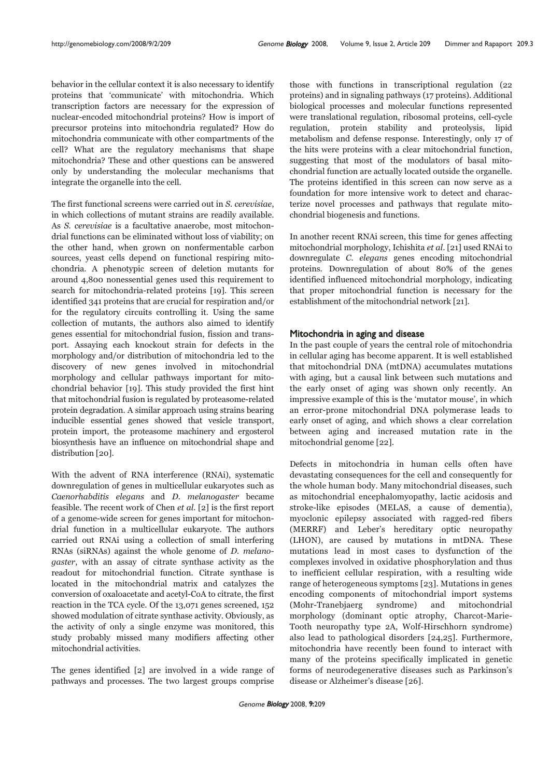behavior in the cellular context it is also necessary to identify proteins that 'communicate' with mitochondria. Which transcription factors are necessary for the expression of nuclear-encoded mitochondrial proteins? How is import of precursor proteins into mitochondria regulated? How do mitochondria communicate with other compartments of the cell? What are the regulatory mechanisms that shape mitochondria? These and other questions can be answered only by understanding the molecular mechanisms that integrate the organelle into the cell.

The first functional screens were carried out in S. cerevisiae, in which collections of mutant strains are readily available. As S. cerevisiae is a facultative anaerobe, most mitochondrial functions can be eliminated without loss of viability; on the other hand, when grown on nonfermentable carbon sources, yeast cells depend on functional respiring mitochondria. A phenotypic screen of deletion mutants for around 4,800 nonessential genes used this requirement to search for mitochondria-related proteins [19]. This screen identified 341 proteins that are crucial for respiration and/or for the regulatory circuits controlling it. Using the same collection of mutants, the authors also aimed to identify genes essential for mitochondrial fusion, fission and transport. Assaying each knockout strain for defects in the morphology and/or distribution of mitochondria led to the discovery of new genes involved in mitochondrial morphology and cellular pathways important for mitochondrial behavior [19]. This study provided the first hint that mitochondrial fusion is regulated by proteasome-related protein degradation. A similar approach using strains bearing inducible essential genes showed that vesicle transport, protein import, the proteasome machinery and ergosterol biosynthesis have an influence on mitochondrial shape and distribution [20].

With the advent of RNA interference (RNAi), systematic downregulation of genes in multicellular eukaryotes such as Caenorhabditis elegans and D. melanogaster became feasible. The recent work of Chen et al. [2] is the first report of a genome-wide screen for genes important for mitochondrial function in a multicellular eukaryote. The authors carried out RNAi using a collection of small interfering RNAs (siRNAs) against the whole genome of D. melanogaster, with an assay of citrate synthase activity as the readout for mitochondrial function. Citrate synthase is located in the mitochondrial matrix and catalyzes the conversion of oxaloacetate and acetyl-CoA to citrate, the first reaction in the TCA cycle. Of the 13,071 genes screened, 152 showed modulation of citrate synthase activity. Obviously, as the activity of only a single enzyme was monitored, this study probably missed many modifiers affecting other mitochondrial activities.

The genes identified [2] are involved in a wide range of pathways and processes. The two largest groups comprise those with functions in transcriptional regulation (22 proteins) and in signaling pathways (17 proteins). Additional biological processes and molecular functions represented were translational regulation, ribosomal proteins, cell-cycle regulation, protein stability and proteolysis, lipid metabolism and defense response. Interestingly, only 17 of the hits were proteins with a clear mitochondrial function, suggesting that most of the modulators of basal mitochondrial function are actually located outside the organelle. The proteins identified in this screen can now serve as a foundation for more intensive work to detect and characterize novel processes and pathways that regulate mitochondrial biogenesis and functions.

In another recent RNAi screen, this time for genes affecting mitochondrial morphology, Ichishita et al. [21] used RNAi to downregulate C. elegans genes encoding mitochondrial proteins. Downregulation of about 80% of the genes identified influenced mitochondrial morphology, indicating that proper mitochondrial function is necessary for the establishment of the mitochondrial network [21].

## Mitochondria in aging and disease

In the past couple of years the central role of mitochondria in cellular aging has become apparent. It is well established that mitochondrial DNA (mtDNA) accumulates mutations with aging, but a causal link between such mutations and the early onset of aging was shown only recently. An impressive example of this is the 'mutator mouse', in which an error-prone mitochondrial DNA polymerase leads to early onset of aging, and which shows a clear correlation between aging and increased mutation rate in the mitochondrial genome [22].

Defects in mitochondria in human cells often have devastating consequences for the cell and consequently for the whole human body. Many mitochondrial diseases, such as mitochondrial encephalomyopathy, lactic acidosis and stroke-like episodes (MELAS, a cause of dementia), myoclonic epilepsy associated with ragged-red fibers (MERRF) and Leber's hereditary optic neuropathy (LHON), are caused by mutations in mtDNA. These mutations lead in most cases to dysfunction of the complexes involved in oxidative phosphorylation and thus to inefficient cellular respiration, with a resulting wide range of heterogeneous symptoms [23]. Mutations in genes encoding components of mitochondrial import systems (Mohr-Tranebjaerg syndrome) and mitochondrial morphology (dominant optic atrophy, Charcot-Marie-Tooth neuropathy type 2A, Wolf-Hirschhorn syndrome) also lead to pathological disorders [24,25]. Furthermore, mitochondria have recently been found to interact with many of the proteins specifically implicated in genetic forms of neurodegenerative diseases such as Parkinson's disease or Alzheimer's disease [26].